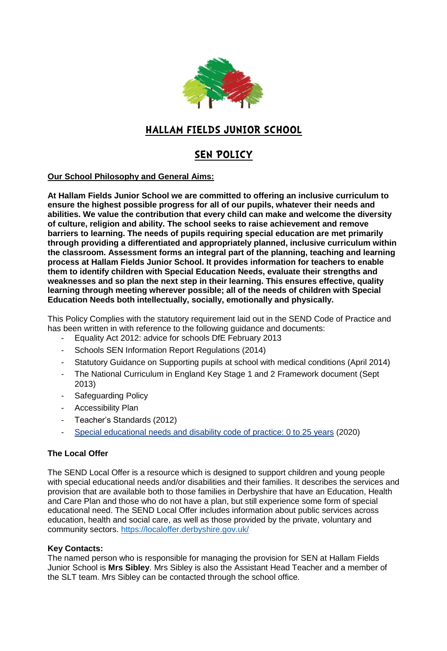

# **HALLAM FIELDS JUNIOR SCHOOL**

# **SEN POLICY**

# **Our School Philosophy and General Aims:**

**At Hallam Fields Junior School we are committed to offering an inclusive curriculum to ensure the highest possible progress for all of our pupils, whatever their needs and abilities. We value the contribution that every child can make and welcome the diversity of culture, religion and ability. The school seeks to raise achievement and remove barriers to learning. The needs of pupils requiring special education are met primarily through providing a differentiated and appropriately planned, inclusive curriculum within the classroom. Assessment forms an integral part of the planning, teaching and learning process at Hallam Fields Junior School. It provides information for teachers to enable them to identify children with Special Education Needs, evaluate their strengths and weaknesses and so plan the next step in their learning. This ensures effective, quality learning through meeting wherever possible; all of the needs of children with Special Education Needs both intellectually, socially, emotionally and physically.** 

This Policy Complies with the statutory requirement laid out in the SEND Code of Practice and has been written in with reference to the following guidance and documents:

- Equality Act 2012: advice for schools DfE February 2013
- Schools SEN Information Report Regulations (2014)
- Statutory Guidance on Supporting pupils at school with medical conditions (April 2014)
- The National Curriculum in England Key Stage 1 and 2 Framework document (Sept 2013)
- Safeguarding Policy
- Accessibility Plan
- Teacher's Standards (2012)
- Special [educational](https://assets.publishing.service.gov.uk/government/uploads/system/uploads/attachment_data/file/398815/SEND_Code_of_Practice_January_2015.pdf) needs and disability code of practice: 0 to 25 years (2020)

# **The Local Offer**

The SEND Local Offer is a resource which is designed to support children and young people with special educational needs and/or disabilities and their families. It describes the services and provision that are available both to those families in Derbyshire that have an Education, Health and Care Plan and those who do not have a plan, but still experience some form of special educational need. The SEND Local Offer includes information about public services across education, health and social care, as well as those provided by the private, voluntary and community sectors.<https://localoffer.derbyshire.gov.uk/>

#### **Key Contacts:**

The named person who is responsible for managing the provision for SEN at Hallam Fields Junior School is **Mrs Sibley**. Mrs Sibley is also the Assistant Head Teacher and a member of the SLT team. Mrs Sibley can be contacted through the school office.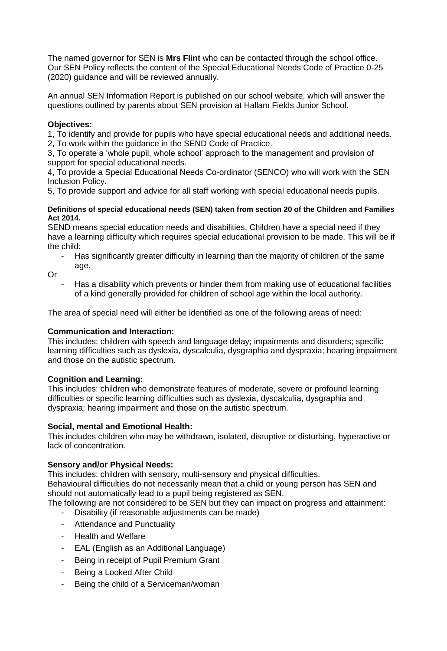The named governor for SEN is **Mrs Flint** who can be contacted through the school office. Our SEN Policy reflects the content of the Special Educational Needs Code of Practice 0-25 (2020) guidance and will be reviewed annually.

An annual SEN Information Report is published on our school website, which will answer the questions outlined by parents about SEN provision at Hallam Fields Junior School.

# **Objectives:**

1, To identify and provide for pupils who have special educational needs and additional needs. 2, To work within the guidance in the SEND Code of Practice.

3, To operate a 'whole pupil, whole school' approach to the management and provision of support for special educational needs.

4, To provide a Special Educational Needs Co-ordinator (SENCO) who will work with the SEN Inclusion Policy.

5, To provide support and advice for all staff working with special educational needs pupils.

#### **Definitions of special educational needs (SEN) taken from section 20 of the Children and Families Act 2014.**

SEND means special education needs and disabilities. Children have a special need if they have a learning difficulty which requires special educational provision to be made. This will be if the child:

- Has significantly greater difficulty in learning than the majority of children of the same age.

Or

Has a disability which prevents or hinder them from making use of educational facilities of a kind generally provided for children of school age within the local authority.

The area of special need will either be identified as one of the following areas of need:

# **Communication and Interaction:**

This includes: children with speech and language delay; impairments and disorders; specific learning difficulties such as dyslexia, dyscalculia, dysgraphia and dyspraxia; hearing impairment and those on the autistic spectrum.

# **Cognition and Learning:**

This includes: children who demonstrate features of moderate, severe or profound learning difficulties or specific learning difficulties such as dyslexia, dyscalculia, dysgraphia and dyspraxia; hearing impairment and those on the autistic spectrum.

# **Social, mental and Emotional Health:**

This includes children who may be withdrawn, isolated, disruptive or disturbing, hyperactive or lack of concentration.

# **Sensory and/or Physical Needs:**

This includes: children with sensory, multi-sensory and physical difficulties. Behavioural difficulties do not necessarily mean that a child or young person has SEN and should not automatically lead to a pupil being registered as SEN.

- The following are not considered to be SEN but they can impact on progress and attainment:
	- Disability (if reasonable adjustments can be made)
	- Attendance and Punctuality
	- Health and Welfare
	- EAL (English as an Additional Language)
	- Being in receipt of Pupil Premium Grant
	- Being a Looked After Child
	- Being the child of a Serviceman/woman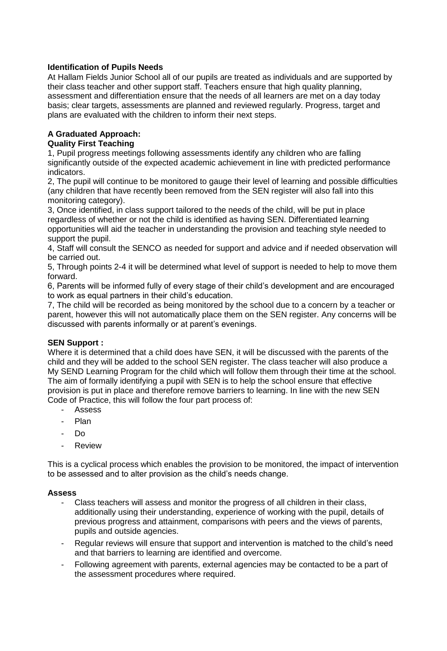# **Identification of Pupils Needs**

At Hallam Fields Junior School all of our pupils are treated as individuals and are supported by their class teacher and other support staff. Teachers ensure that high quality planning, assessment and differentiation ensure that the needs of all learners are met on a day today basis; clear targets, assessments are planned and reviewed regularly. Progress, target and plans are evaluated with the children to inform their next steps.

# **A Graduated Approach:**

# **Quality First Teaching**

1, Pupil progress meetings following assessments identify any children who are falling significantly outside of the expected academic achievement in line with predicted performance indicators.

2, The pupil will continue to be monitored to gauge their level of learning and possible difficulties (any children that have recently been removed from the SEN register will also fall into this monitoring category).

3, Once identified, in class support tailored to the needs of the child, will be put in place regardless of whether or not the child is identified as having SEN. Differentiated learning opportunities will aid the teacher in understanding the provision and teaching style needed to support the pupil.

4, Staff will consult the SENCO as needed for support and advice and if needed observation will be carried out.

5, Through points 2-4 it will be determined what level of support is needed to help to move them forward.

6, Parents will be informed fully of every stage of their child's development and are encouraged to work as equal partners in their child's education.

7, The child will be recorded as being monitored by the school due to a concern by a teacher or parent, however this will not automatically place them on the SEN register. Any concerns will be discussed with parents informally or at parent's evenings.

#### **SEN Support :**

Where it is determined that a child does have SEN, it will be discussed with the parents of the child and they will be added to the school SEN register. The class teacher will also produce a My SEND Learning Program for the child which will follow them through their time at the school. The aim of formally identifying a pupil with SEN is to help the school ensure that effective provision is put in place and therefore remove barriers to learning. In line with the new SEN Code of Practice, this will follow the four part process of:

- **Assess**
- Plan
- Do
- **Review**

This is a cyclical process which enables the provision to be monitored, the impact of intervention to be assessed and to alter provision as the child's needs change.

#### **Assess**

- Class teachers will assess and monitor the progress of all children in their class, additionally using their understanding, experience of working with the pupil, details of previous progress and attainment, comparisons with peers and the views of parents, pupils and outside agencies.
- Regular reviews will ensure that support and intervention is matched to the child's need and that barriers to learning are identified and overcome.
- Following agreement with parents, external agencies may be contacted to be a part of the assessment procedures where required.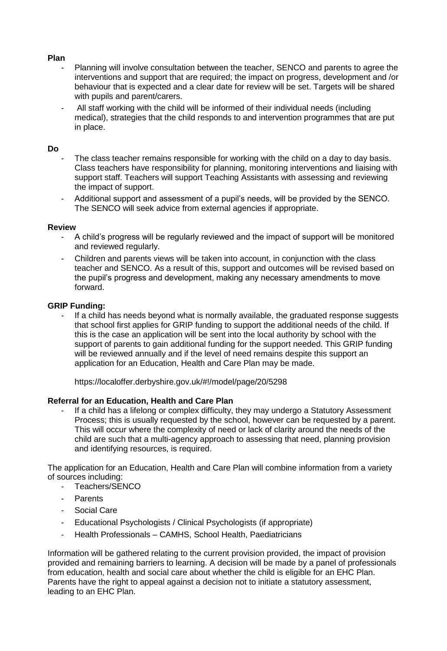#### **Plan**

- Planning will involve consultation between the teacher, SENCO and parents to agree the interventions and support that are required; the impact on progress, development and /or behaviour that is expected and a clear date for review will be set. Targets will be shared with pupils and parent/carers.
- All staff working with the child will be informed of their individual needs (including medical), strategies that the child responds to and intervention programmes that are put in place.

#### **Do**

- The class teacher remains responsible for working with the child on a day to day basis. Class teachers have responsibility for planning, monitoring interventions and liaising with support staff. Teachers will support Teaching Assistants with assessing and reviewing the impact of support.
- Additional support and assessment of a pupil's needs, will be provided by the SENCO. The SENCO will seek advice from external agencies if appropriate.

#### **Review**

- A child's progress will be regularly reviewed and the impact of support will be monitored and reviewed regularly.
- Children and parents views will be taken into account, in conjunction with the class teacher and SENCO. As a result of this, support and outcomes will be revised based on the pupil's progress and development, making any necessary amendments to move forward.

#### **GRIP Funding:**

If a child has needs beyond what is normally available, the graduated response suggests that school first applies for GRIP funding to support the additional needs of the child. If this is the case an application will be sent into the local authority by school with the support of parents to gain additional funding for the support needed. This GRIP funding will be reviewed annually and if the level of need remains despite this support an application for an Education, Health and Care Plan may be made.

https://localoffer.derbyshire.gov.uk/#!/model/page/20/5298

#### **Referral for an Education, Health and Care Plan**

If a child has a lifelong or complex difficulty, they may undergo a Statutory Assessment Process; this is usually requested by the school, however can be requested by a parent. This will occur where the complexity of need or lack of clarity around the needs of the child are such that a multi-agency approach to assessing that need, planning provision and identifying resources, is required.

The application for an Education, Health and Care Plan will combine information from a variety of sources including:

- Teachers/SENCO
- **Parents**
- Social Care
- Educational Psychologists / Clinical Psychologists (if appropriate)
- Health Professionals CAMHS, School Health, Paediatricians

Information will be gathered relating to the current provision provided, the impact of provision provided and remaining barriers to learning. A decision will be made by a panel of professionals from education, health and social care about whether the child is eligible for an EHC Plan. Parents have the right to appeal against a decision not to initiate a statutory assessment, leading to an EHC Plan.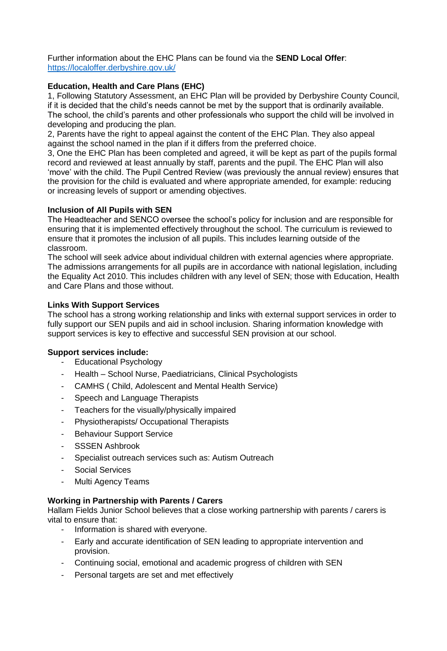Further information about the EHC Plans can be found via the **SEND Local Offer**: <https://localoffer.derbyshire.gov.uk/>

# **Education, Health and Care Plans (EHC)**

1, Following Statutory Assessment, an EHC Plan will be provided by Derbyshire County Council, if it is decided that the child's needs cannot be met by the support that is ordinarily available. The school, the child's parents and other professionals who support the child will be involved in developing and producing the plan.

2, Parents have the right to appeal against the content of the EHC Plan. They also appeal against the school named in the plan if it differs from the preferred choice.

3, One the EHC Plan has been completed and agreed, it will be kept as part of the pupils formal record and reviewed at least annually by staff, parents and the pupil. The EHC Plan will also 'move' with the child. The Pupil Centred Review (was previously the annual review) ensures that the provision for the child is evaluated and where appropriate amended, for example: reducing or increasing levels of support or amending objectives.

# **Inclusion of All Pupils with SEN**

The Headteacher and SENCO oversee the school's policy for inclusion and are responsible for ensuring that it is implemented effectively throughout the school. The curriculum is reviewed to ensure that it promotes the inclusion of all pupils. This includes learning outside of the classroom.

The school will seek advice about individual children with external agencies where appropriate. The admissions arrangements for all pupils are in accordance with national legislation, including the Equality Act 2010. This includes children with any level of SEN; those with Education, Health and Care Plans and those without.

# **Links With Support Services**

The school has a strong working relationship and links with external support services in order to fully support our SEN pupils and aid in school inclusion. Sharing information knowledge with support services is key to effective and successful SEN provision at our school.

# **Support services include:**

- Educational Psychology
- Health School Nurse, Paediatricians, Clinical Psychologists
- CAMHS ( Child, Adolescent and Mental Health Service)
- Speech and Language Therapists
- Teachers for the visually/physically impaired
- Physiotherapists/ Occupational Therapists
- Behaviour Support Service
- SSSEN Ashbrook
- Specialist outreach services such as: Autism Outreach
- Social Services
- Multi Agency Teams

#### **Working in Partnership with Parents / Carers**

Hallam Fields Junior School believes that a close working partnership with parents / carers is vital to ensure that:

- Information is shared with everyone.
- Early and accurate identification of SEN leading to appropriate intervention and provision.
- Continuing social, emotional and academic progress of children with SEN
- Personal targets are set and met effectively